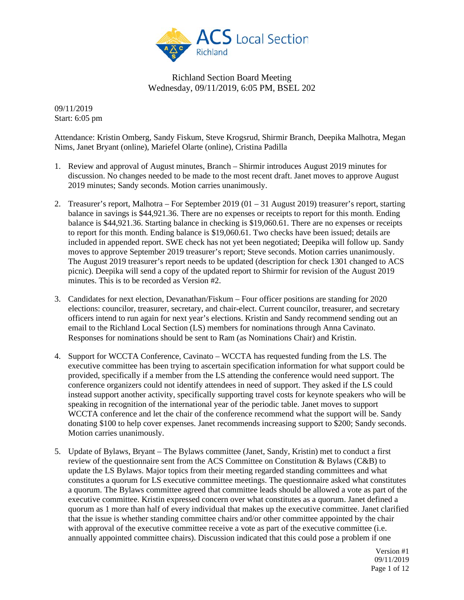

09/11/2019 Start: 6:05 pm

Attendance: Kristin Omberg, Sandy Fiskum, Steve Krogsrud, Shirmir Branch, Deepika Malhotra, Megan Nims, Janet Bryant (online), Mariefel Olarte (online), Cristina Padilla

- 1. Review and approval of August minutes, Branch Shirmir introduces August 2019 minutes for discussion. No changes needed to be made to the most recent draft. Janet moves to approve August 2019 minutes; Sandy seconds. Motion carries unanimously.
- 2. Treasurer's report, Malhotra For September 2019 (01 31 August 2019) treasurer's report, starting balance in savings is \$44,921.36. There are no expenses or receipts to report for this month. Ending balance is \$44,921.36. Starting balance in checking is \$19,060.61. There are no expenses or receipts to report for this month. Ending balance is \$19,060.61. Two checks have been issued; details are included in appended report. SWE check has not yet been negotiated; Deepika will follow up. Sandy moves to approve September 2019 treasurer's report; Steve seconds. Motion carries unanimously. The August 2019 treasurer's report needs to be updated (description for check 1301 changed to ACS picnic). Deepika will send a copy of the updated report to Shirmir for revision of the August 2019 minutes. This is to be recorded as Version #2.
- 3. Candidates for next election, Devanathan/Fiskum Four officer positions are standing for 2020 elections: councilor, treasurer, secretary, and chair-elect. Current councilor, treasurer, and secretary officers intend to run again for next year's elections. Kristin and Sandy recommend sending out an email to the Richland Local Section (LS) members for nominations through Anna Cavinato. Responses for nominations should be sent to Ram (as Nominations Chair) and Kristin.
- 4. Support for WCCTA Conference, Cavinato WCCTA has requested funding from the LS. The executive committee has been trying to ascertain specification information for what support could be provided, specifically if a member from the LS attending the conference would need support. The conference organizers could not identify attendees in need of support. They asked if the LS could instead support another activity, specifically supporting travel costs for keynote speakers who will be speaking in recognition of the international year of the periodic table. Janet moves to support WCCTA conference and let the chair of the conference recommend what the support will be. Sandy donating \$100 to help cover expenses. Janet recommends increasing support to \$200; Sandy seconds. Motion carries unanimously.
- 5. Update of Bylaws, Bryant The Bylaws committee (Janet, Sandy, Kristin) met to conduct a first review of the questionnaire sent from the ACS Committee on Constitution & Bylaws ( $C\&B$ ) to update the LS Bylaws. Major topics from their meeting regarded standing committees and what constitutes a quorum for LS executive committee meetings. The questionnaire asked what constitutes a quorum. The Bylaws committee agreed that committee leads should be allowed a vote as part of the executive committee. Kristin expressed concern over what constitutes as a quorum. Janet defined a quorum as 1 more than half of every individual that makes up the executive committee. Janet clarified that the issue is whether standing committee chairs and/or other committee appointed by the chair with approval of the executive committee receive a vote as part of the executive committee (i.e. annually appointed committee chairs). Discussion indicated that this could pose a problem if one

Version #1 09/11/2019 Page 1 of 12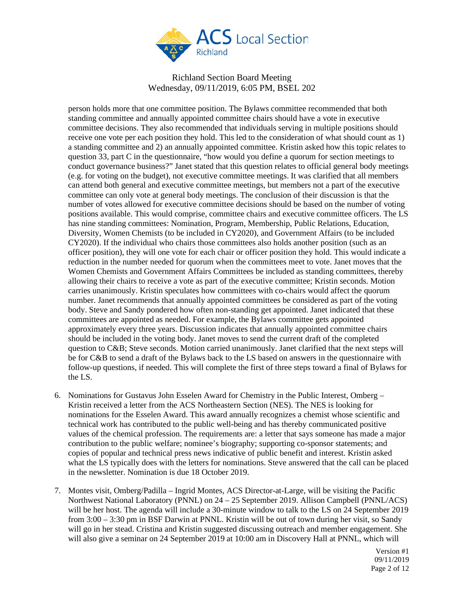

person holds more that one committee position. The Bylaws committee recommended that both standing committee and annually appointed committee chairs should have a vote in executive committee decisions. They also recommended that individuals serving in multiple positions should receive one vote per each position they hold. This led to the consideration of what should count as 1) a standing committee and 2) an annually appointed committee. Kristin asked how this topic relates to question 33, part C in the questionnaire, "how would you define a quorum for section meetings to conduct governance business?" Janet stated that this question relates to official general body meetings (e.g. for voting on the budget), not executive committee meetings. It was clarified that all members can attend both general and executive committee meetings, but members not a part of the executive committee can only vote at general body meetings. The conclusion of their discussion is that the number of votes allowed for executive committee decisions should be based on the number of voting positions available. This would comprise, committee chairs and executive committee officers. The LS has nine standing committees: Nomination, Program, Membership, Public Relations, Education, Diversity, Women Chemists (to be included in CY2020), and Government Affairs (to be included CY2020). If the individual who chairs those committees also holds another position (such as an officer position), they will one vote for each chair or officer position they hold. This would indicate a reduction in the number needed for quorum when the committees meet to vote. Janet moves that the Women Chemists and Government Affairs Committees be included as standing committees, thereby allowing their chairs to receive a vote as part of the executive committee; Kristin seconds. Motion carries unanimously. Kristin speculates how committees with co-chairs would affect the quorum number. Janet recommends that annually appointed committees be considered as part of the voting body. Steve and Sandy pondered how often non-standing get appointed. Janet indicated that these committees are appointed as needed. For example, the Bylaws committee gets appointed approximately every three years. Discussion indicates that annually appointed committee chairs should be included in the voting body. Janet moves to send the current draft of the completed question to C&B; Steve seconds. Motion carried unanimously. Janet clarified that the next steps will be for C&B to send a draft of the Bylaws back to the LS based on answers in the questionnaire with follow-up questions, if needed. This will complete the first of three steps toward a final of Bylaws for the LS.

- 6. Nominations for Gustavus John Esselen Award for Chemistry in the Public Interest, Omberg Kristin received a letter from the ACS Northeastern Section (NES). The NES is looking for nominations for the Esselen Award. This award annually recognizes a chemist whose scientific and technical work has contributed to the public well-being and has thereby communicated positive values of the chemical profession. The requirements are: a letter that says someone has made a major contribution to the public welfare; nominee's biography; supporting co-sponsor statements; and copies of popular and technical press news indicative of public benefit and interest. Kristin asked what the LS typically does with the letters for nominations. Steve answered that the call can be placed in the newsletter. Nomination is due 18 October 2019.
- 7. Montes visit, Omberg/Padilla Ingrid Montes, ACS Director-at-Large, will be visiting the Pacific Northwest National Laboratory (PNNL) on 24 – 25 September 2019. Allison Campbell (PNNL/ACS) will be her host. The agenda will include a 30-minute window to talk to the LS on 24 September 2019 from 3:00 – 3:30 pm in BSF Darwin at PNNL. Kristin will be out of town during her visit, so Sandy will go in her stead. Cristina and Kristin suggested discussing outreach and member engagement. She will also give a seminar on 24 September 2019 at 10:00 am in Discovery Hall at PNNL, which will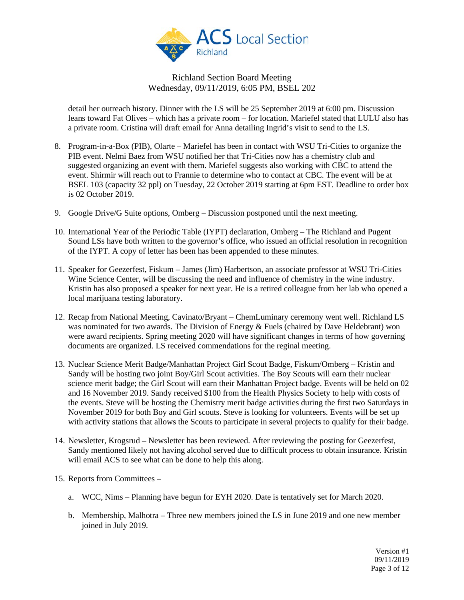

detail her outreach history. Dinner with the LS will be 25 September 2019 at 6:00 pm. Discussion leans toward Fat Olives – which has a private room – for location. Mariefel stated that LULU also has a private room. Cristina will draft email for Anna detailing Ingrid's visit to send to the LS.

- 8. Program-in-a-Box (PIB), Olarte Mariefel has been in contact with WSU Tri-Cities to organize the PIB event. Nelmi Baez from WSU notified her that Tri-Cities now has a chemistry club and suggested organizing an event with them. Mariefel suggests also working with CBC to attend the event. Shirmir will reach out to Frannie to determine who to contact at CBC. The event will be at BSEL 103 (capacity 32 ppl) on Tuesday, 22 October 2019 starting at 6pm EST. Deadline to order box is 02 October 2019.
- 9. Google Drive/G Suite options, Omberg Discussion postponed until the next meeting.
- 10. International Year of the Periodic Table (IYPT) declaration, Omberg The Richland and Pugent Sound LSs have both written to the governor's office, who issued an official resolution in recognition of the IYPT. A copy of letter has been has been appended to these minutes.
- 11. Speaker for Geezerfest, Fiskum James (Jim) Harbertson, an associate professor at WSU Tri-Cities Wine Science Center, will be discussing the need and influence of chemistry in the wine industry. Kristin has also proposed a speaker for next year. He is a retired colleague from her lab who opened a local marijuana testing laboratory.
- 12. Recap from National Meeting, Cavinato/Bryant ChemLuminary ceremony went well. Richland LS was nominated for two awards. The Division of Energy & Fuels (chaired by Dave Heldebrant) won were award recipients. Spring meeting 2020 will have significant changes in terms of how governing documents are organized. LS received commendations for the reginal meeting.
- 13. Nuclear Science Merit Badge/Manhattan Project Girl Scout Badge, Fiskum/Omberg Kristin and Sandy will be hosting two joint Boy/Girl Scout activities. The Boy Scouts will earn their nuclear science merit badge; the Girl Scout will earn their Manhattan Project badge. Events will be held on 02 and 16 November 2019. Sandy received \$100 from the Health Physics Society to help with costs of the events. Steve will be hosting the Chemistry merit badge activities during the first two Saturdays in November 2019 for both Boy and Girl scouts. Steve is looking for volunteers. Events will be set up with activity stations that allows the Scouts to participate in several projects to qualify for their badge.
- 14. Newsletter, Krogsrud Newsletter has been reviewed. After reviewing the posting for Geezerfest, Sandy mentioned likely not having alcohol served due to difficult process to obtain insurance. Kristin will email ACS to see what can be done to help this along.
- 15. Reports from Committees
	- a. WCC, Nims Planning have begun for EYH 2020. Date is tentatively set for March 2020.
	- b. Membership, Malhotra Three new members joined the LS in June 2019 and one new member joined in July 2019.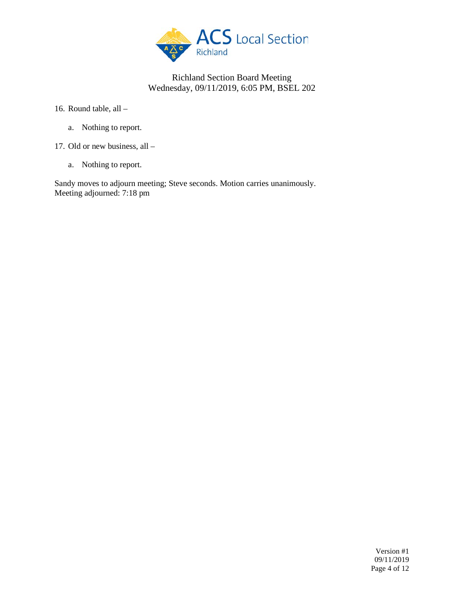

16. Round table, all –

- a. Nothing to report.
- 17. Old or new business, all
	- a. Nothing to report.

Sandy moves to adjourn meeting; Steve seconds. Motion carries unanimously. Meeting adjourned: 7:18 pm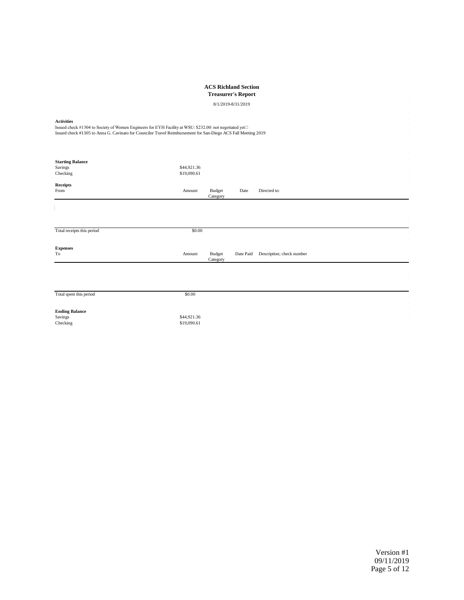| <b>ACS Richland Section</b><br><b>Treasurer's Report</b><br>8/1/2019-8/31/2019                                                                                                                                                                |                            |                           |           |                           |
|-----------------------------------------------------------------------------------------------------------------------------------------------------------------------------------------------------------------------------------------------|----------------------------|---------------------------|-----------|---------------------------|
| <b>Activities</b><br>Issued check #1304 to Society of Women Engineers for EYH Facility at WSU: \$232.00: not negotiated yet□<br>Issued check #1305 to Anna G. Cavinato for Councilor Travel Reimbursement for San-Diego ACS Fall Meeting 2019 |                            |                           |           |                           |
| <b>Starting Balance</b><br>Savings<br>Checking                                                                                                                                                                                                | \$44,921.36<br>\$19,090.61 |                           |           |                           |
| <b>Receipts</b><br>From                                                                                                                                                                                                                       | Amount                     | <b>Budget</b><br>Category | Date      | Directed to:              |
|                                                                                                                                                                                                                                               |                            |                           |           |                           |
| Total receipts this period                                                                                                                                                                                                                    | \$0.00                     |                           |           |                           |
| <b>Expenses</b><br>To                                                                                                                                                                                                                         | Amount                     | <b>Budget</b><br>Category | Date Paid | Description; check number |
| Total spent this period                                                                                                                                                                                                                       | \$0.00                     |                           |           |                           |
| <b>Ending Balance</b><br>Savings<br>Checking                                                                                                                                                                                                  | \$44,921.36<br>\$19,090.61 |                           |           |                           |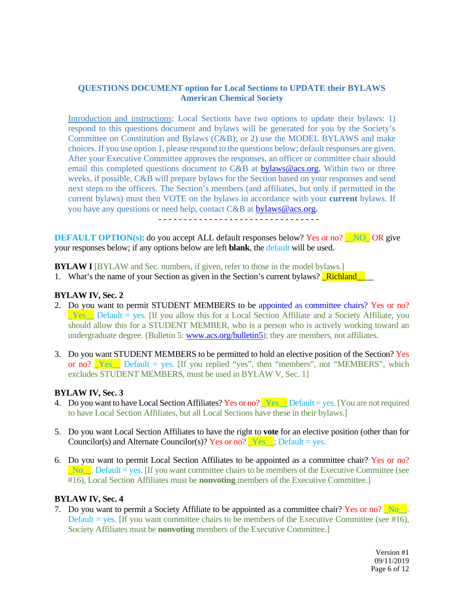### **QUESTIONS DOCUMENT option for Local Sections to UPDATE their BYLAWS American Chemical Society**

Introduction and instructions: Local Sections have two options to update their bylaws: 1) respond to this questions document and bylaws will be generated for you by the Society's Committee on Constitution and Bylaws (C&B); or 2) use the MODEL BYLAWS and make choices. If you use option 1, please respond to the questions below; default responses are given. After your Executive Committee approves the responses, an officer or committee chair should email this completed questions document to C&B at [bylaws@acs.org.](mailto:bylaws@acs.org) Within two or three weeks, if possible, C&B will prepare bylaws for the Section based on your responses and send next steps to the officers. The Section's members (and affiliates, but only if permitted in the current bylaws) must then VOTE on the bylaws in accordance with your **current** bylaws. If you have any questions or need help, contact C&B at [bylaws@acs.org](mailto:bylaws@acs.org)**.**

- - - - - - - - - - - - - - - - - - - - - - - - - - - - - - - -

**DEFAULT OPTION(s):** do you accept ALL default responses below? Yes or no? NO OR give your responses below; if any options below are left **blank**, the default will be used.

**BYLAW I** [BYLAW and Sec. numbers, if given, refer to those in the model bylaws.]

1. What's the name of your Section as given in the Section's current bylaws? **Richland** 

### **BYLAW IV, Sec. 2**

- 2. Do you want to permit STUDENT MEMBERS to be appointed as committee chairs? Yes or no? Yes Default = yes. [If you allow this for a Local Section Affiliate and a Society Affiliate, you should allow this for a STUDENT MEMBER, who is a person who is actively working toward an undergraduate degree. (Bulletin 5: [www.acs.org/bulletin5\)](http://www.acs.org/bulletin5); they are members, not affiliates.
- 3. Do you want STUDENT MEMBERS to be permitted to hold an elective position of the Section? Yes or no?  $Yes$  Default = yes. [If you replied "yes", then "members", not "MEMBERS", which excludes STUDENT MEMBERS, must be used in BYLAW V, Sec. 1]

#### **BYLAW IV, Sec. 3**

- 4. Do you want to have Local Section Affiliates? Yes or no?  $Yes$  Default = yes. [You are not required to have Local Section Affiliates, but all Local Sections have these in their bylaws.]
- 5. Do you want Local Section Affiliates to have the right to **vote** for an elective position (other than for Councilor(s) and Alternate Councilor(s)? Yes or no?  $Yes$ , Default = yes.
- 6. Do you want to permit Local Section Affiliates to be appointed as a committee chair? Yes or no? \_No\_\_. Default = yes. [If you want committee chairs to be members of the Executive Committee (see #16), Local Section Affiliates must be **nonvoting** members of the Executive Committee.]

#### **BYLAW IV, Sec. 4**

7. Do you want to permit a Society Affiliate to be appointed as a committee chair? Yes or no?  $\overline{N_0}$ . Default = yes. If you want committee chairs to be members of the Executive Committee (see #16), Society Affiliates must be **nonvoting** members of the Executive Committee.]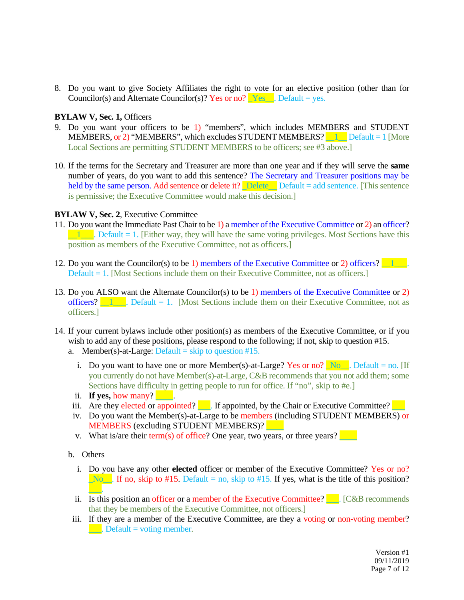8. Do you want to give Society Affiliates the right to vote for an elective position (other than for Councilor(s) and Alternate Councilor(s)? Yes or no?  $Yes$ . Default = yes.

### **BYLAW V, Sec. 1,** Officers

- 9. Do you want your officers to be 1) "members", which includes MEMBERS and STUDENT MEMBERS, or 2) "MEMBERS", which excludes STUDENT MEMBERS?  $\Box$  Default = 1 [More Local Sections are permitting STUDENT MEMBERS to be officers; see #3 above.
- 10. If the terms for the Secretary and Treasurer are more than one year and if they will serve the **same**  number of years, do you want to add this sentence? The Secretary and Treasurer positions may be held by the same person. Add sentence or delete it? Delete\_ Default = add sentence. [This sentence is permissive; the Executive Committee would make this decision.]

### **BYLAW V, Sec. 2**, Executive Committee

- 11. Do you want the Immediate Past Chair to be 1) a member of the Executive Committee or 2) an officer?  $\blacksquare$  Default = 1. [Either way, they will have the same voting privileges. Most Sections have this position as members of the Executive Committee, not as officers.]
- 12. Do you want the Councilor(s) to be 1) members of the Executive Committee or 2) officers? Default = 1. [Most Sections include them on their Executive Committee, not as officers.]
- 13. Do you ALSO want the Alternate Councilor(s) to be 1) members of the Executive Committee or 2) officers?  $\Box$  Default = 1. [Most Sections include them on their Executive Committee, not as officers.]
- 14. If your current bylaws include other position(s) as members of the Executive Committee, or if you wish to add any of these positions, please respond to the following; if not, skip to question #15.
	- a. Member(s)-at-Large: Default = skip to question  $#15$ .
		- i. Do you want to have one or more Member(s)-at-Large? Yes or no? No. Default = no. [If you currently do not have Member(s)-at-Large, C&B recommends that you not add them; some Sections have difficulty in getting people to run for office. If "no", skip to #e.]
		- ii. **If yes, how many?** 1.
	- iii. Are they elected or appointed?  $\blacksquare$ . If appointed, by the Chair or Executive Committee?
	- iv. Do you want the Member(s)-at-Large to be members (including STUDENT MEMBERS) or MEMBERS (excluding STUDENT MEMBERS)?
	- v. What is/are their term(s) of office? One year, two years, or three years?
	- b. Others
		- i. Do you have any other **elected** officer or member of the Executive Committee? Yes or no?  $\Box$ No $\Box$ . If no, skip to #15. Default = no, skip to #15. If yes, what is the title of this position?  $\overline{\phantom{a}}$  .
		- ii. Is this position an officer or a member of the Executive Committee?  $\Box$  [C&B recommends that they be members of the Executive Committee, not officers.]
	- iii. If they are a member of the Executive Committee, are they a voting or non-voting member?  $\Box$ . Default = voting member.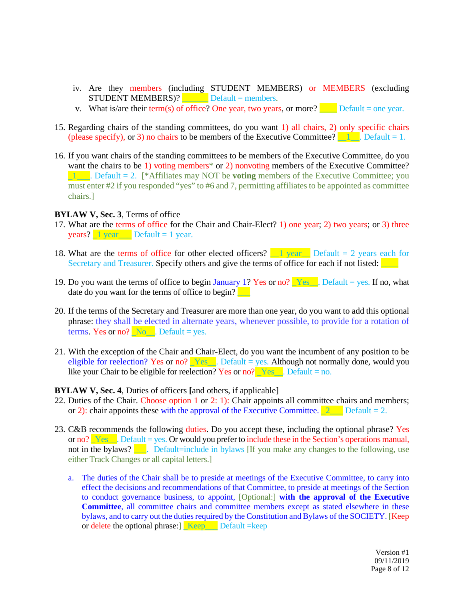- iv. Are they members (including STUDENT MEMBERS) or MEMBERS (excluding  $STUDENT MEMBERS)?$  Default = members.
- v. What is/are their term(s) of office? One year, two years, or more? Default = one year.
- 15. Regarding chairs of the standing committees, do you want 1) all chairs, 2) only specific chairs (please specify), or 3) no chairs to be members of the Executive Committee?  $\Box$  Default = 1.
- 16. If you want chairs of the standing committees to be members of the Executive Committee, do you want the chairs to be 1) voting members<sup>\*</sup> or 2) nonvoting members of the Executive Committee? **1** Default = 2. [\*Affiliates may NOT be **voting** members of the Executive Committee; you must enter #2 if you responded "yes" to #6 and 7, permitting affiliates to be appointed as committee chairs.]

#### **BYLAW V, Sec. 3**, Terms of office

- 17. What are the terms of office for the Chair and Chair-Elect? 1) one year; 2) two years; or 3) three **years?**  $\frac{1}{2}$  year  $\frac{1}{2}$  Default = 1 year.
- 18. What are the terms of office for other elected officers?  $\boxed{\phantom{a}1 \text{ year}}$  Default = 2 years each for Secretary and Treasurer. Specify others and give the terms of office for each if not listed:  $\Box$
- 19. Do you want the terms of office to begin January 1? Yes or no?  $\text{Yes}$ . Default = yes. If no, what date do you want for the terms of office to begin?
- 20. If the terms of the Secretary and Treasurer are more than one year, do you want to add this optional phrase: they shall be elected in alternate years, whenever possible, to provide for a rotation of terms. Yes or no?  $No$  Default = yes.
- 21. With the exception of the Chair and Chair-Elect, do you want the incumbent of any position to be eligible for reelection? Yes or no?  $Yes$ . Default = yes. Although not normally done, would you like your Chair to be eligible for reelection? Yes or no?  $Yes$ . Default = no.

#### **BYLAW V, Sec. 4**, Duties of officers **[**and others, if applicable]

- 22. Duties of the Chair. Choose option 1 or 2: 1): Chair appoints all committee chairs and members; or 2): chair appoints these with the approval of the Executive Committee.  $\boxed{2}$  Default = 2.
- 23. C&B recommends the following duties. Do you accept these, including the optional phrase? Yes or no?  $Yes$ . Default = yes. Or would you prefer to include these in the Section's operations manual, not in the bylaws?  $\Box$ . Default=include in bylaws [If you make any changes to the following, use either Track Changes or all capital letters.]
	- a. The duties of the Chair shall be to preside at meetings of the Executive Committee, to carry into effect the decisions and recommendations of that Committee, to preside at meetings of the Section to conduct governance business, to appoint, [Optional:] **with the approval of the Executive Committee**, all committee chairs and committee members except as stated elsewhere in these bylaws, and to carry out the duties required by the Constitution and Bylaws of the SOCIETY. [Keep or delete the optional phrase:] \_Keep\_\_\_ Default =keep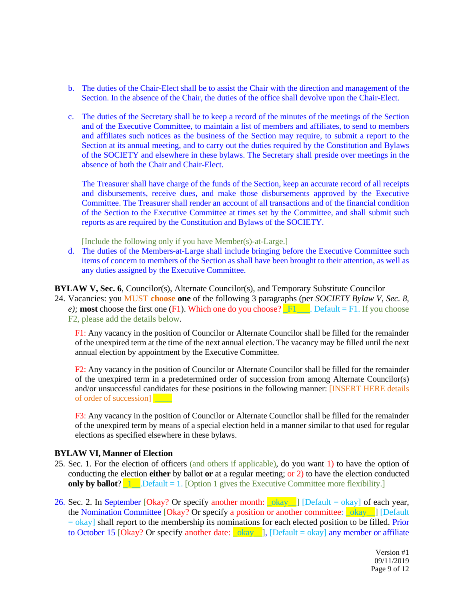- b. The duties of the Chair-Elect shall be to assist the Chair with the direction and management of the Section. In the absence of the Chair, the duties of the office shall devolve upon the Chair-Elect.
- c. The duties of the Secretary shall be to keep a record of the minutes of the meetings of the Section and of the Executive Committee, to maintain a list of members and affiliates, to send to members and affiliates such notices as the business of the Section may require, to submit a report to the Section at its annual meeting, and to carry out the duties required by the Constitution and Bylaws of the SOCIETY and elsewhere in these bylaws. The Secretary shall preside over meetings in the absence of both the Chair and Chair-Elect.

The Treasurer shall have charge of the funds of the Section, keep an accurate record of all receipts and disbursements, receive dues, and make those disbursements approved by the Executive Committee. The Treasurer shall render an account of all transactions and of the financial condition of the Section to the Executive Committee at times set by the Committee, and shall submit such reports as are required by the Constitution and Bylaws of the SOCIETY.

[Include the following only if you have Member(s)-at-Large.]

d. The duties of the Members-at-Large shall include bringing before the Executive Committee such items of concern to members of the Section as shall have been brought to their attention, as well as any duties assigned by the Executive Committee.

**BYLAW V, Sec. 6, Councilor(s), Alternate Councilor(s), and Temporary Substitute Councilor** 

24. Vacancies: you MUST **choose one** of the following 3 paragraphs (per *SOCIETY Bylaw V, Sec. 8, e);* **most** choose the first one (F1). Which one do you choose?  $\mathbb{F}1$  Default = F1. If you choose F2, please add the details below.

F1: Any vacancy in the position of Councilor or Alternate Councilor shall be filled for the remainder of the unexpired term at the time of the next annual election. The vacancy may be filled until the next annual election by appointment by the Executive Committee.

F2: Any vacancy in the position of Councilor or Alternate Councilor shall be filled for the remainder of the unexpired term in a predetermined order of succession from among Alternate Councilor(s) and/or unsuccessful candidates for these positions in the following manner: [INSERT HERE details of order of succession]

F3: Any vacancy in the position of Councilor or Alternate Councilor shall be filled for the remainder of the unexpired term by means of a special election held in a manner similar to that used for regular elections as specified elsewhere in these bylaws.

#### **BYLAW VI, Manner of Election**

- 25. Sec. 1. For the election of officers (and others if applicable), do you want 1) to have the option of conducting the election **either** by ballot **or** at a regular meeting; or 2) to have the election conducted **only by ballot**?  $\boxed{1}$ . Default = 1. [Option 1 gives the Executive Committee more flexibility.]
- 26. Sec. 2. In September [Okay? Or specify another month:  $\log |D|$  [Default = okay] of each year, the Nomination Committee [Okay? Or specify a position or another committee: **Lokay\_\_**] [Default  $=$  okay] shall report to the membership its nominations for each elected position to be filled. Prior to October 15 [Okay? Or specify another date:  $\lfloor \frac{\text{okay}}{\text{okay}} \rfloor$ , [Default = okay] any member or affiliate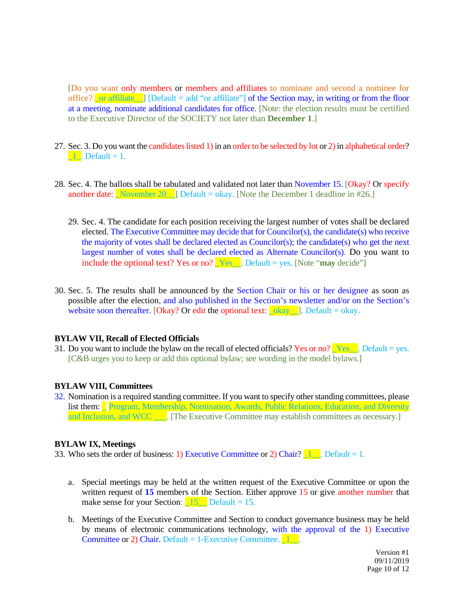[Do you want only members or members and affiliates to nominate and second a nominee for office?  $\boxed{\text{or } \text{affiliate } }$  [Default = add "or affiliate"] of the Section may, in writing or from the floor at a meeting, nominate additional candidates for office. [Note: the election results must be certified to the Executive Director of the SOCIETY not later than **December 1**.]

- 27. Sec. 3. Do you want the candidates listed 1) in an order to be selected by lot or 2) in alphabetical order?  $\blacksquare$   $\blacksquare$   $\blacksquare$   $\blacksquare$   $\blacksquare$   $\blacksquare$   $\blacksquare$
- 28. Sec. 4. The ballots shall be tabulated and validated not later than November 15. [Okay? Or specify another date: November 20  $\Box$  Default = okay. [Note the December 1 deadline in #26.]
	- 29. Sec. 4. The candidate for each position receiving the largest number of votes shall be declared elected. The Executive Committee may decide that for Councilor(s), the candidate(s) who receive the majority of votes shall be declared elected as Councilor(s); the candidate(s) who get the next largest number of votes shall be declared elected as Alternate Councilor(s). Do you want to include the optional text? Yes or no?  $Yes$ . Default = yes. [Note "**may** decide"]
- 30. Sec. 5. The results shall be announced by the Section Chair or his or her designee as soon as possible after the election, and also published in the Section's newsletter and/or on the Section's website soon thereafter. [Okay? Or edit the optional text:  $\log x$ ]. Default = okay.

#### **BYLAW VII, Recall of Elected Officials**

31. Do you want to include the bylaw on the recall of elected officials? Yes or no?  $\angle$  Yes\_\_. Default = yes. [C&B urges you to keep or add this optional bylaw; see wording in the model bylaws.]

### **BYLAW VIII, Committees**

32. Nomination is a required standing committee. If you want to specify other standing committees, please list them: Program, Membership, Nomination, Awards, Public Relations, Education, and Diversity and Inclusion, and WCC \_\_\_\_. [The Executive Committee may establish committees as necessary.]

#### **BYLAW IX, Meetings**

33. Who sets the order of business: 1) Executive Committee or 2) Chair?  $\boxed{1}$ . Default = 1.

- a. Special meetings may be held at the written request of the Executive Committee or upon the written request of 15 members of the Section. Either approve 15 or give another number that make sense for your Section:  $\frac{15}{15}$  Default = 15.
- b. Meetings of the Executive Committee and Section to conduct governance business may be held by means of electronic communications technology, with the approval of the 1) Executive Committee or 2) Chair. Default  $= 1$ -Executive Committee.  $\boxed{1}$ .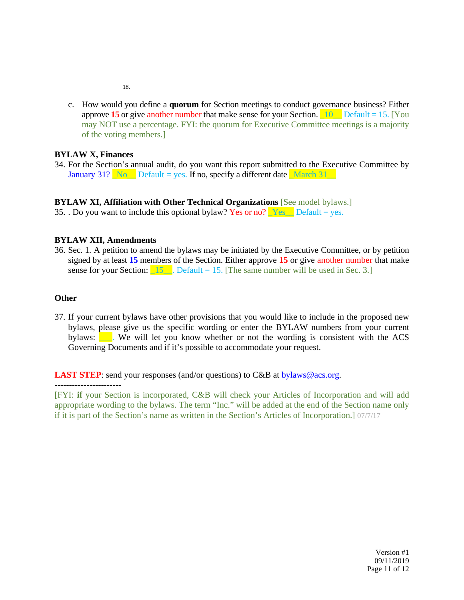18.

c. How would you define a **quorum** for Section meetings to conduct governance business? Either approve **15** or give another number that make sense for your Section.  $\boxed{10}$  Default = 15. [You may NOT use a percentage. FYI: the quorum for Executive Committee meetings is a majority of the voting members.]

# **BYLAW X, Finances**

34. For the Section's annual audit, do you want this report submitted to the Executive Committee by January 31?  $\sqrt{\frac{N_0}{N_0}}$  Default = yes. If no, specify a different date  $\sqrt{\frac{M_0}{N_0}}$ 

# **BYLAW XI, Affiliation with Other Technical Organizations** [See model bylaws.]

35. . Do you want to include this optional bylaw? Yes or no?  $Yes$  Default = yes.

### **BYLAW XII, Amendments**

36. Sec. 1. A petition to amend the bylaws may be initiated by the Executive Committee, or by petition signed by at least **15** members of the Section. Either approve **15** or give another number that make sense for your Section:  $\boxed{15}$ . Default = 15. [The same number will be used in Sec. 3.]

### **Other**

37. If your current bylaws have other provisions that you would like to include in the proposed new bylaws, please give us the specific wording or enter the BYLAW numbers from your current bylaws:  $\blacksquare$ . We will let you know whether or not the wording is consistent with the ACS Governing Documents and if it's possible to accommodate your request.

**LAST STEP**: send your responses (and/or questions) to C&B at **bylaws@acs.org**.

[FYI: **if** your Section is incorporated, C&B will check your Articles of Incorporation and will add appropriate wording to the bylaws. The term "Inc." will be added at the end of the Section name only if it is part of the Section's name as written in the Section's Articles of Incorporation.] 07/7/17